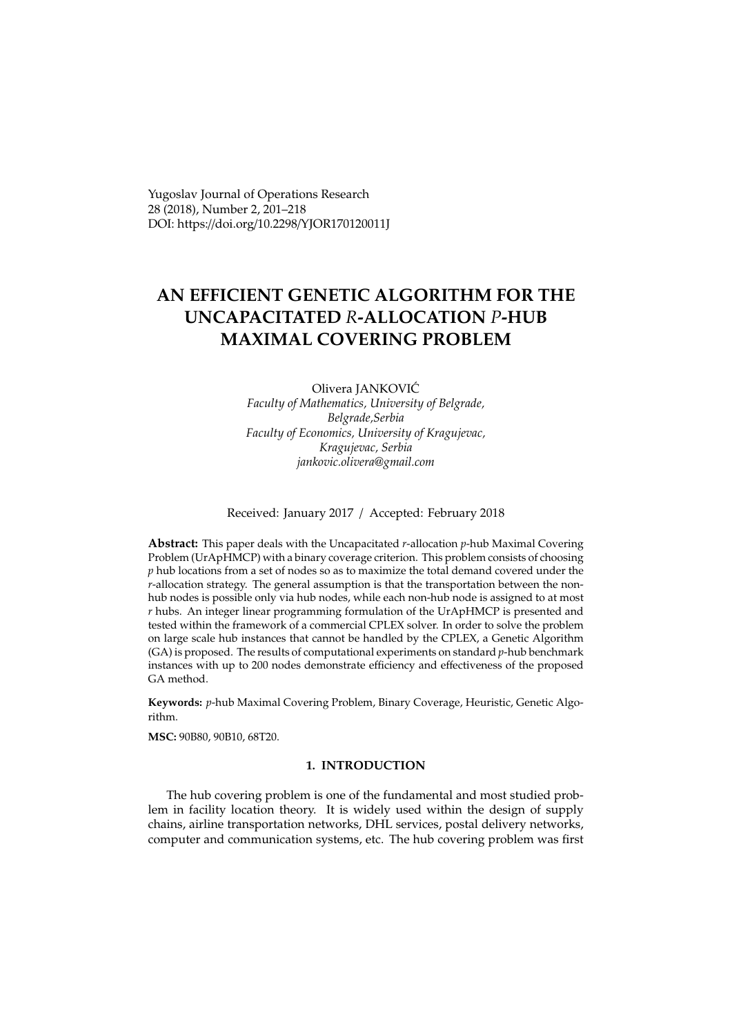Yugoslav Journal of Operations Research 28 (2018), Number 2, 201–218 DOI: https://doi.org/10.2298/YJOR170120011J

# **AN EFFICIENT GENETIC ALGORITHM FOR THE UNCAPACITATED** *R***-ALLOCATION** *P***-HUB MAXIMAL COVERING PROBLEM**

## Olivera JANKOVIC´ *Faculty of Mathematics, University of Belgrade, Belgrade,Serbia Faculty of Economics, University of Kragujevac, Kragujevac, Serbia jankovic.olivera@gmail.com*

Received: January 2017 / Accepted: February 2018

**Abstract:** This paper deals with the Uncapacitated *r*-allocation *p*-hub Maximal Covering Problem (UrApHMCP) with a binary coverage criterion. This problem consists of choosing *p* hub locations from a set of nodes so as to maximize the total demand covered under the *r*-allocation strategy. The general assumption is that the transportation between the nonhub nodes is possible only via hub nodes, while each non-hub node is assigned to at most *r* hubs. An integer linear programming formulation of the UrApHMCP is presented and tested within the framework of a commercial CPLEX solver. In order to solve the problem on large scale hub instances that cannot be handled by the CPLEX, a Genetic Algorithm (GA) is proposed. The results of computational experiments on standard *p*-hub benchmark instances with up to 200 nodes demonstrate efficiency and effectiveness of the proposed GA method.

**Keywords:** *p*-hub Maximal Covering Problem, Binary Coverage, Heuristic, Genetic Algorithm.

**MSC:** 90B80, 90B10, 68T20.

### **1. INTRODUCTION**

The hub covering problem is one of the fundamental and most studied problem in facility location theory. It is widely used within the design of supply chains, airline transportation networks, DHL services, postal delivery networks, computer and communication systems, etc. The hub covering problem was first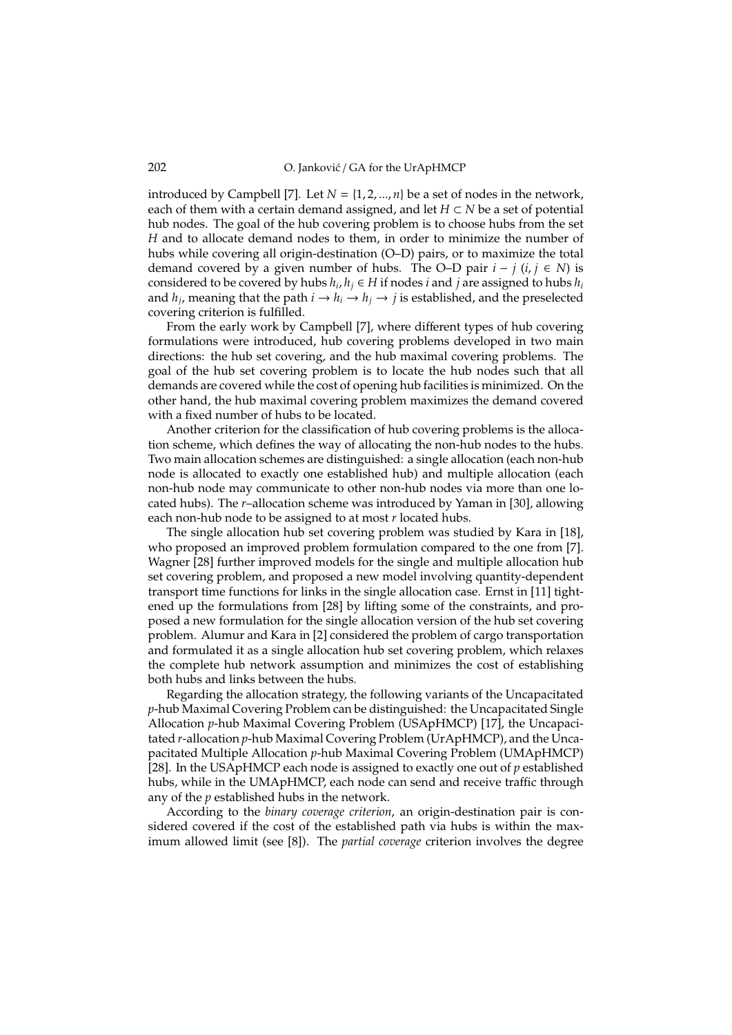introduced by Campbell [7]. Let  $N = \{1, 2, ..., n\}$  be a set of nodes in the network, each of them with a certain demand assigned, and let  $H \subset N$  be a set of potential hub nodes. The goal of the hub covering problem is to choose hubs from the set *H* and to allocate demand nodes to them, in order to minimize the number of hubs while covering all origin-destination (O–D) pairs, or to maximize the total demand covered by a given number of hubs. The O–D pair  $i - j$  ( $i, j \in N$ ) is considered to be covered by hubs  $h_i, h_j \in H$  if nodes *i* and *j* are assigned to hubs  $h_i$ and  $h_j$ , meaning that the path  $i \to h_i \to h_j \to j$  is established, and the preselected covering criterion is fulfilled.

From the early work by Campbell [7], where different types of hub covering formulations were introduced, hub covering problems developed in two main directions: the hub set covering, and the hub maximal covering problems. The goal of the hub set covering problem is to locate the hub nodes such that all demands are covered while the cost of opening hub facilities is minimized. On the other hand, the hub maximal covering problem maximizes the demand covered with a fixed number of hubs to be located.

Another criterion for the classification of hub covering problems is the allocation scheme, which defines the way of allocating the non-hub nodes to the hubs. Two main allocation schemes are distinguished: a single allocation (each non-hub node is allocated to exactly one established hub) and multiple allocation (each non-hub node may communicate to other non-hub nodes via more than one located hubs). The *r*–allocation scheme was introduced by Yaman in [30], allowing each non-hub node to be assigned to at most *r* located hubs.

The single allocation hub set covering problem was studied by Kara in [18], who proposed an improved problem formulation compared to the one from [7]. Wagner [28] further improved models for the single and multiple allocation hub set covering problem, and proposed a new model involving quantity-dependent transport time functions for links in the single allocation case. Ernst in [11] tightened up the formulations from [28] by lifting some of the constraints, and proposed a new formulation for the single allocation version of the hub set covering problem. Alumur and Kara in [2] considered the problem of cargo transportation and formulated it as a single allocation hub set covering problem, which relaxes the complete hub network assumption and minimizes the cost of establishing both hubs and links between the hubs.

Regarding the allocation strategy, the following variants of the Uncapacitated *p*-hub Maximal Covering Problem can be distinguished: the Uncapacitated Single Allocation *p*-hub Maximal Covering Problem (USApHMCP) [17], the Uncapacitated *r*-allocation *p*-hub Maximal Covering Problem (UrApHMCP), and the Uncapacitated Multiple Allocation *p*-hub Maximal Covering Problem (UMApHMCP) [28]. In the USApHMCP each node is assigned to exactly one out of *p* established hubs, while in the UMApHMCP, each node can send and receive traffic through any of the *p* established hubs in the network.

According to the *binary coverage criterion*, an origin-destination pair is considered covered if the cost of the established path via hubs is within the maximum allowed limit (see [8]). The *partial coverage* criterion involves the degree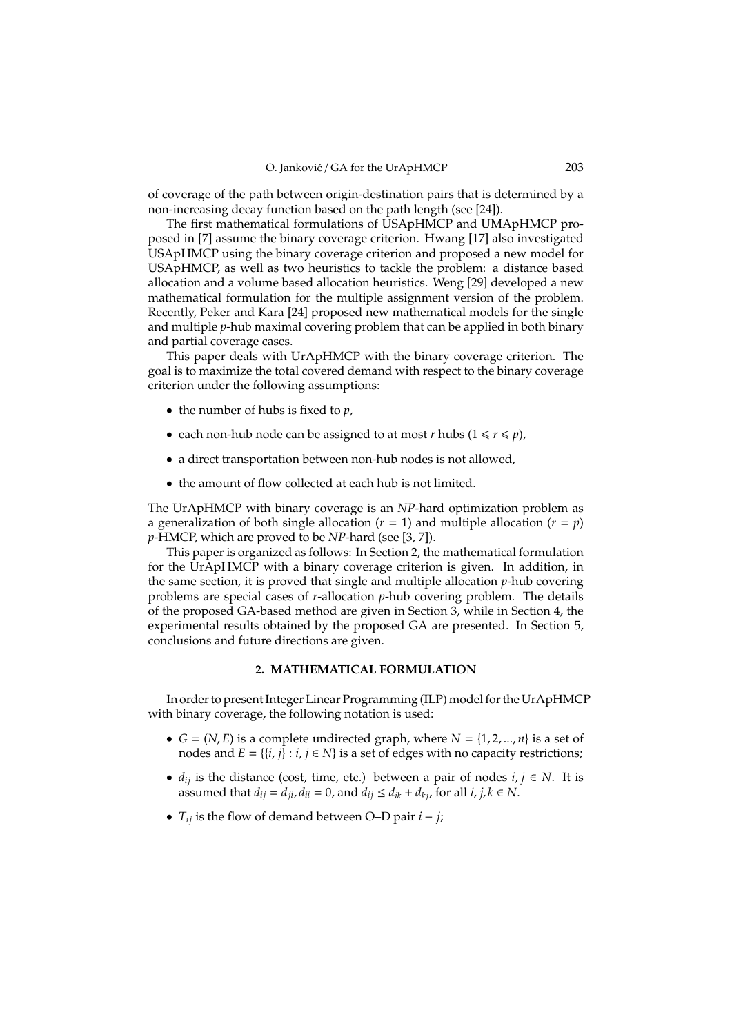of coverage of the path between origin-destination pairs that is determined by a non-increasing decay function based on the path length (see [24]).

The first mathematical formulations of USApHMCP and UMApHMCP proposed in [7] assume the binary coverage criterion. Hwang [17] also investigated USApHMCP using the binary coverage criterion and proposed a new model for USApHMCP, as well as two heuristics to tackle the problem: a distance based allocation and a volume based allocation heuristics. Weng [29] developed a new mathematical formulation for the multiple assignment version of the problem. Recently, Peker and Kara [24] proposed new mathematical models for the single and multiple *p*-hub maximal covering problem that can be applied in both binary and partial coverage cases.

This paper deals with UrApHMCP with the binary coverage criterion. The goal is to maximize the total covered demand with respect to the binary coverage criterion under the following assumptions:

- the number of hubs is fixed to *p*,
- each non-hub node can be assigned to at most *r* hubs  $(1 \le r \le p)$ ,
- a direct transportation between non-hub nodes is not allowed,
- the amount of flow collected at each hub is not limited.

The UrApHMCP with binary coverage is an *NP*-hard optimization problem as a generalization of both single allocation ( $r = 1$ ) and multiple allocation ( $r = p$ ) *p*-HMCP, which are proved to be *NP*-hard (see [3, 7]).

This paper is organized as follows: In Section 2, the mathematical formulation for the UrApHMCP with a binary coverage criterion is given. In addition, in the same section, it is proved that single and multiple allocation *p*-hub covering problems are special cases of *r*-allocation *p*-hub covering problem. The details of the proposed GA-based method are given in Section 3, while in Section 4, the experimental results obtained by the proposed GA are presented. In Section 5, conclusions and future directions are given.

## **2. MATHEMATICAL FORMULATION**

In order to present Integer Linear Programming (ILP) model for the UrApHMCP with binary coverage, the following notation is used:

- $G = (N, E)$  is a complete undirected graph, where  $N = \{1, 2, ..., n\}$  is a set of nodes and  $E = \{\{i, j\} : i, j \in N\}$  is a set of edges with no capacity restrictions;
- $d_{ij}$  is the distance (cost, time, etc.) between a pair of nodes  $i, j \in N$ . It is assumed that  $d_{ij} = d_{ji}$ ,  $d_{ii} = 0$ , and  $d_{ij} \leq d_{ik} + d_{ki}$ , for all *i*, *j*,  $k \in N$ .
- *Tij* is the flow of demand between O–D pair *i* − *j*;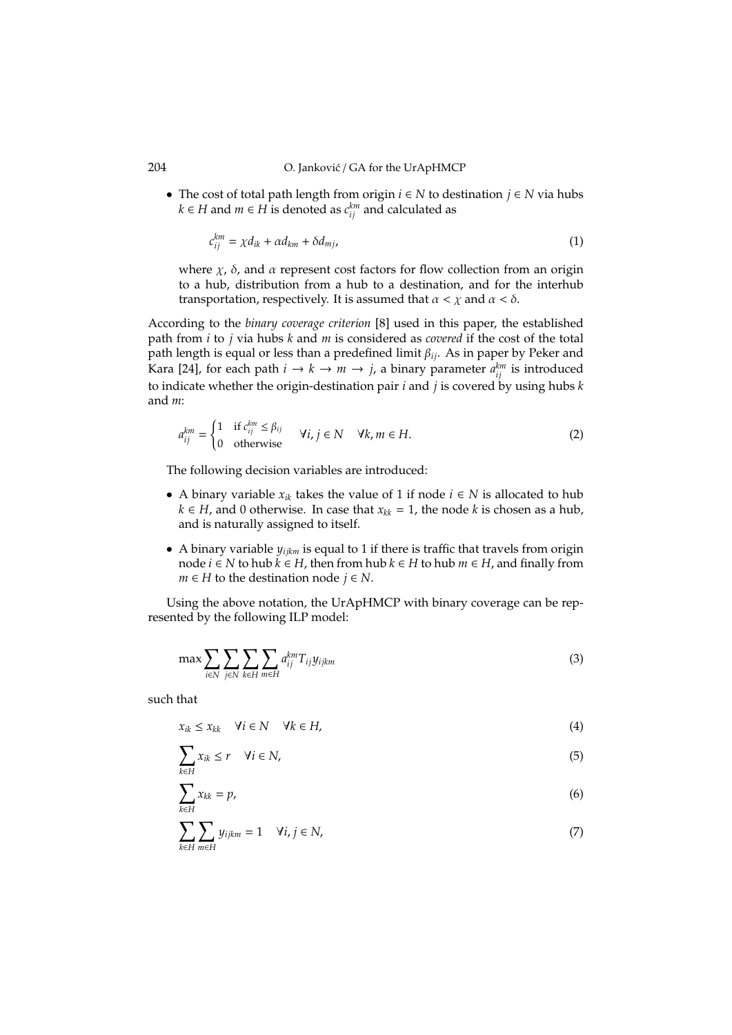• The cost of total path length from origin *i* ∈ *N* to destination *j* ∈ *N* via hubs *k* ∈ *H* and *m* ∈ *H* is denoted as  $c_{ij}^{km}$  and calculated as

$$
c_{ij}^{km} = \chi d_{ik} + \alpha d_{km} + \delta d_{mj}, \qquad (1)
$$

where  $\chi$ ,  $\delta$ , and  $\alpha$  represent cost factors for flow collection from an origin to a hub, distribution from a hub to a destination, and for the interhub transportation, respectively. It is assumed that  $\alpha < \chi$  and  $\alpha < \delta$ .

According to the *binary coverage criterion* [8] used in this paper, the established path from *i* to *j* via hubs *k* and *m* is considered as *covered* if the cost of the total path length is equal or less than a predefined limit β*ij*. As in paper by Peker and Kara [24], for each path  $i \to k \to m \to j$ , a binary parameter  $a_{ij}^{km}$  is introduced to indicate whether the origin-destination pair  $i$  and  $j$  is covered by using hubs  $k$ and *m*:

$$
a_{ij}^{km} = \begin{cases} 1 & \text{if } c_{ij}^{km} \le \beta_{ij} \\ 0 & \text{otherwise} \end{cases} \quad \forall i, j \in \mathbb{N} \quad \forall k, m \in \mathbb{H}.
$$
 (2)

The following decision variables are introduced:

- A binary variable *xik* takes the value of 1 if node *i* ∈ *N* is allocated to hub *k* ∈ *H*, and 0 otherwise. In case that  $x_{kk}$  = 1, the node *k* is chosen as a hub, and is naturally assigned to itself.
- A binary variable *yijkm* is equal to 1 if there is traffic that travels from origin node *i* ∈ *N* to hub  $k$  ∈ *H*, then from hub  $k$  ∈ *H* to hub  $m$  ∈ *H*, and finally from *m* ∈ *H* to the destination node  $j$  ∈ *N*.

Using the above notation, the UrApHMCP with binary coverage can be represented by the following ILP model:

$$
\max \sum_{i \in N} \sum_{j \in N} \sum_{k \in H} \sum_{m \in H} a_{ij}^{km} T_{ij} y_{ijkm} \tag{3}
$$

such that

$$
x_{ik} \le x_{kk} \quad \forall i \in \mathbb{N} \quad \forall k \in \mathbb{H}, \tag{4}
$$

$$
\sum_{k \in H} x_{ik} \le r \quad \forall i \in N,
$$
\n<sup>(5)</sup>

$$
\sum_{k \in H} x_{kk} = p,\tag{6}
$$

$$
\sum_{k \in H} \sum_{m \in H} y_{ijkm} = 1 \quad \forall i, j \in N,
$$
\n(7)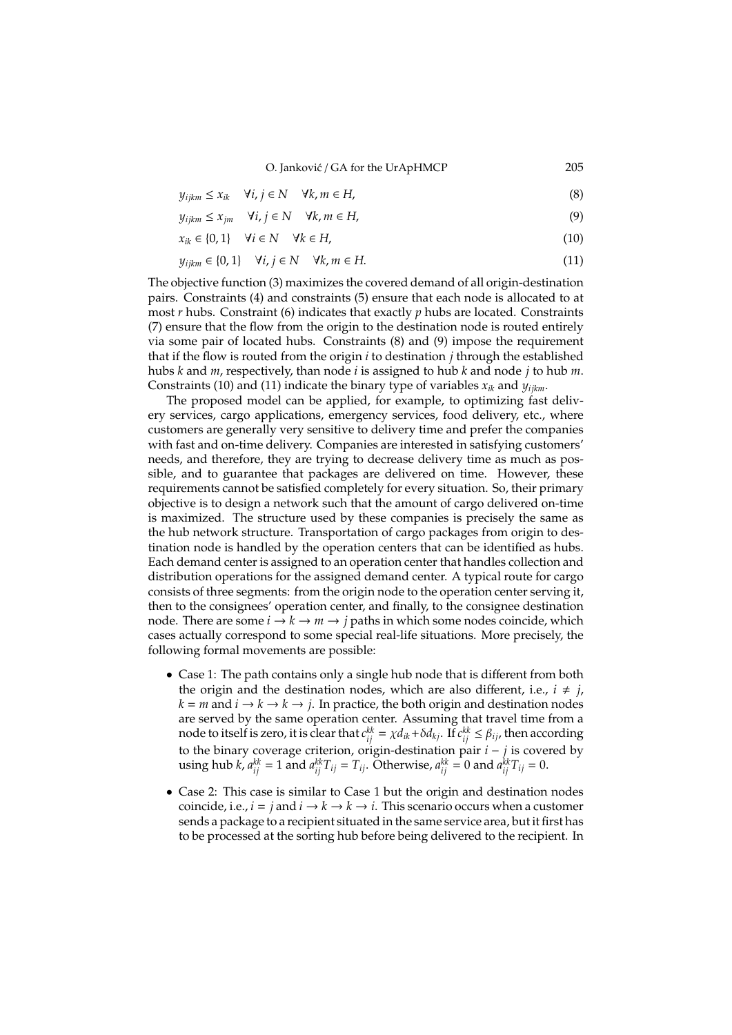O. Janković / GA for the UrApHMCP 205

$$
y_{ijkm} \le x_{ik} \quad \forall i, j \in N \quad \forall k, m \in H,
$$
\n(8)

$$
y_{ijkm} \le x_{jm} \quad \forall i, j \in \mathbb{N} \quad \forall k, m \in H,
$$
\n(9)

$$
x_{ik} \in \{0, 1\} \quad \forall i \in \mathbb{N} \quad \forall k \in H,
$$
\n
$$
(10)
$$

$$
y_{ijkm} \in \{0, 1\} \quad \forall i, j \in \mathbb{N} \quad \forall k, m \in \mathbb{H}.\tag{11}
$$

The objective function (3) maximizes the covered demand of all origin-destination pairs. Constraints (4) and constraints (5) ensure that each node is allocated to at most *r* hubs. Constraint (6) indicates that exactly *p* hubs are located. Constraints (7) ensure that the flow from the origin to the destination node is routed entirely via some pair of located hubs. Constraints (8) and (9) impose the requirement that if the flow is routed from the origin *i* to destination *j* through the established hubs *k* and *m*, respectively, than node *i* is assigned to hub *k* and node *j* to hub *m*. Constraints (10) and (11) indicate the binary type of variables  $x_{ik}$  and  $y_{iikm}$ .

The proposed model can be applied, for example, to optimizing fast delivery services, cargo applications, emergency services, food delivery, etc., where customers are generally very sensitive to delivery time and prefer the companies with fast and on-time delivery. Companies are interested in satisfying customers' needs, and therefore, they are trying to decrease delivery time as much as possible, and to guarantee that packages are delivered on time. However, these requirements cannot be satisfied completely for every situation. So, their primary objective is to design a network such that the amount of cargo delivered on-time is maximized. The structure used by these companies is precisely the same as the hub network structure. Transportation of cargo packages from origin to destination node is handled by the operation centers that can be identified as hubs. Each demand center is assigned to an operation center that handles collection and distribution operations for the assigned demand center. A typical route for cargo consists of three segments: from the origin node to the operation center serving it, then to the consignees' operation center, and finally, to the consignee destination node. There are some  $i \to k \to m \to j$  paths in which some nodes coincide, which cases actually correspond to some special real-life situations. More precisely, the following formal movements are possible:

- Case 1: The path contains only a single hub node that is different from both the origin and the destination nodes, which are also different, i.e.,  $i \neq j$ ,  $k = m$  and  $i \rightarrow k \rightarrow k \rightarrow j$ . In practice, the both origin and destination nodes are served by the same operation center. Assuming that travel time from a node to itself is zero, it is clear that  $c_{ij}^{kk} = \chi d_{ik} + \delta d_{kj}$ . If  $c_{ij}^{kk} \leq \beta_{ij}$ , then according to the binary coverage criterion, origin-destination pair *i* − *j* is covered by using hub *k*,  $a_{ij}^{kk} = 1$  and  $a_{ij}^{kk}T_{ij} = T_{ij}$ . Otherwise,  $a_{ij}^{kk} = 0$  and  $a_{ij}^{kk}T_{ij} = 0$ .
- Case 2: This case is similar to Case 1 but the origin and destination nodes coincide, i.e.,  $i = j$  and  $i \rightarrow k \rightarrow k \rightarrow i$ . This scenario occurs when a customer sends a package to a recipient situated in the same service area, but it first has to be processed at the sorting hub before being delivered to the recipient. In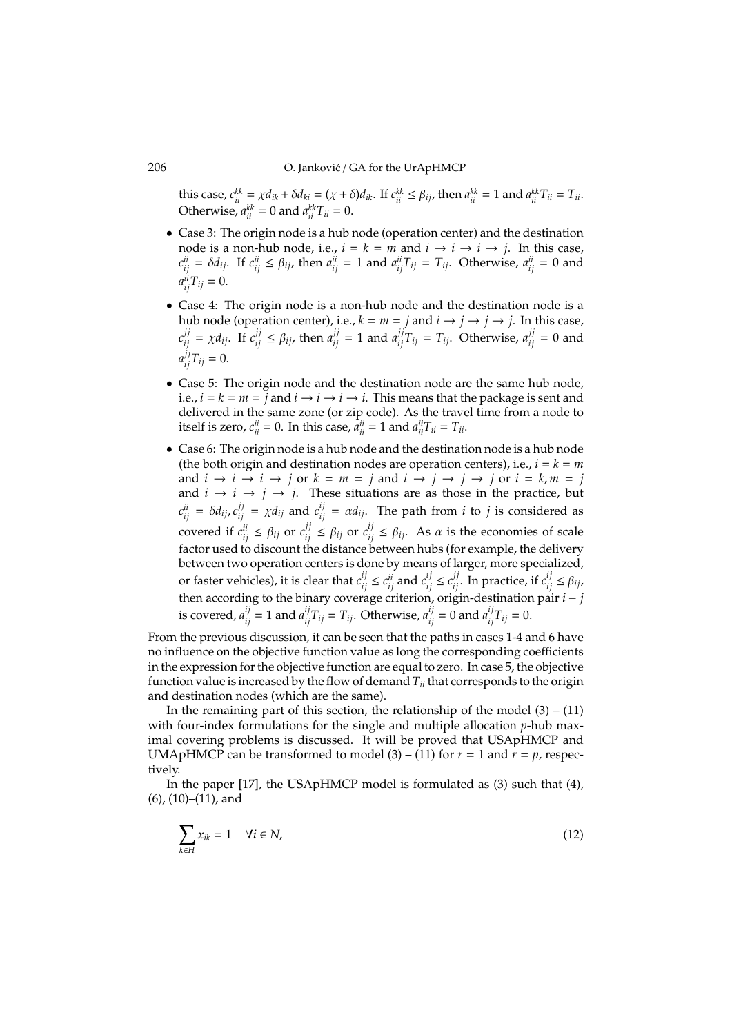this case,  $c_{ii}^{kk} = \chi d_{ik} + \delta d_{ki} = (\chi + \delta) d_{ik}$ . If  $c_{ii}^{kk} \le \beta_{ij}$ , then  $a_{ii}^{kk} = 1$  and  $a_{ii}^{kk} T_{ii} = T_{ii}$ . Otherwise,  $a_{ii}^{kk} = 0$  and  $a_{ii}^{kk} T_{ii} = 0$ .

- Case 3: The origin node is a hub node (operation center) and the destination node is a non-hub node, i.e.,  $i = k = m$  and  $i \rightarrow i \rightarrow j$ . In this case,  $c_{ij}^{ii} = \delta d_{ij}$ . If  $c_{ij}^{ii} \leq \beta_{ij}$ , then  $a_{ij}^{ii} = 1$  and  $a_{ij}^{ii}T_{ij} = T_{ij}$ . Otherwise,  $a_{ij}^{ii} = 0$  and  $a_{ij}^{ii}T_{ij} = 0.$
- Case 4: The origin node is a non-hub node and the destination node is a hub node (operation center), i.e.,  $k = m = j$  and  $i \rightarrow j \rightarrow j$ . In this case,  $c_{ij}^{jj} = \chi d_{ij}$ . If  $c_{ij}^{jj} \le \beta_{ij}$ , then  $a_{ij}^{jj} = 1$  and  $a_{ij}^{jj}T_{ij} = T_{ij}$ . Otherwise,  $a_{ij}^{jj} = 0$  and  $a_{ij}^{jj}T_{ij} = 0.$
- Case 5: The origin node and the destination node are the same hub node, i.e.,  $i = k = m = j$  and  $i \rightarrow i \rightarrow i \rightarrow i$ . This means that the package is sent and delivered in the same zone (or zip code). As the travel time from a node to itself is zero,  $c_{ii}^{ii} = 0$ . In this case,  $a_{ii}^{ii} = 1$  and  $a_{ii}^{ii}T_{ii} = T_{ii}$ .
- Case 6: The origin node is a hub node and the destination node is a hub node (the both origin and destination nodes are operation centers), i.e.,  $i = k = m$ and  $i \rightarrow i \rightarrow i \rightarrow j$  or  $k = m = j$  and  $i \rightarrow j \rightarrow j \rightarrow j$  or  $i = k, m = j$ and  $i \rightarrow i \rightarrow j \rightarrow j$ . These situations are as those in the practice, but  $c_{ij}^{ii} = \delta d_{ij}$ ,  $c_{ij}^{jj} = \chi d_{ij}$  and  $c_{ij}^{ij} = \alpha d_{ij}$ . The path from *i* to *j* is considered as covered if  $c_{ij}^{ii} \leq \beta_{ij}$  or  $c_{ij}^{jj} \leq \beta_{ij}$  or  $c_{ij}^{ij} \leq \beta_{ij}$ . As  $\alpha$  is the economies of scale factor used to discount the distance between hubs (for example, the delivery between two operation centers is done by means of larger, more specialized, or faster vehicles), it is clear that  $c_{ij}^{ij} \le c_{ij}^{ii}$  and  $c_{ij}^{ij} \le c_{ij}^{jj}$ . In practice, if  $c_{ij}^{ij} \le \beta_{ij}$ , then according to the binary coverage criterion, origin-destination pair *i* − *j* is covered,  $a_{ij}^{ij} = 1$  and  $a_{ij}^{ij}T_{ij} = T_{ij}$ . Otherwise,  $a_{ij}^{ij} = 0$  and  $a_{ij}^{ij}T_{ij} = 0$ .

From the previous discussion, it can be seen that the paths in cases 1-4 and 6 have no influence on the objective function value as long the corresponding coefficients in the expression for the objective function are equal to zero. In case 5, the objective function value is increased by the flow of demand *Tii* that corresponds to the origin and destination nodes (which are the same).

In the remaining part of this section, the relationship of the model  $(3) - (11)$ with four-index formulations for the single and multiple allocation *p*-hub maximal covering problems is discussed. It will be proved that USApHMCP and UMApHMCP can be transformed to model  $(3) - (11)$  for  $r = 1$  and  $r = p$ , respectively.

In the paper [17], the USApHMCP model is formulated as (3) such that (4), (6), (10)–(11), and

$$
\sum_{k \in H} x_{ik} = 1 \quad \forall i \in N,
$$
\n(12)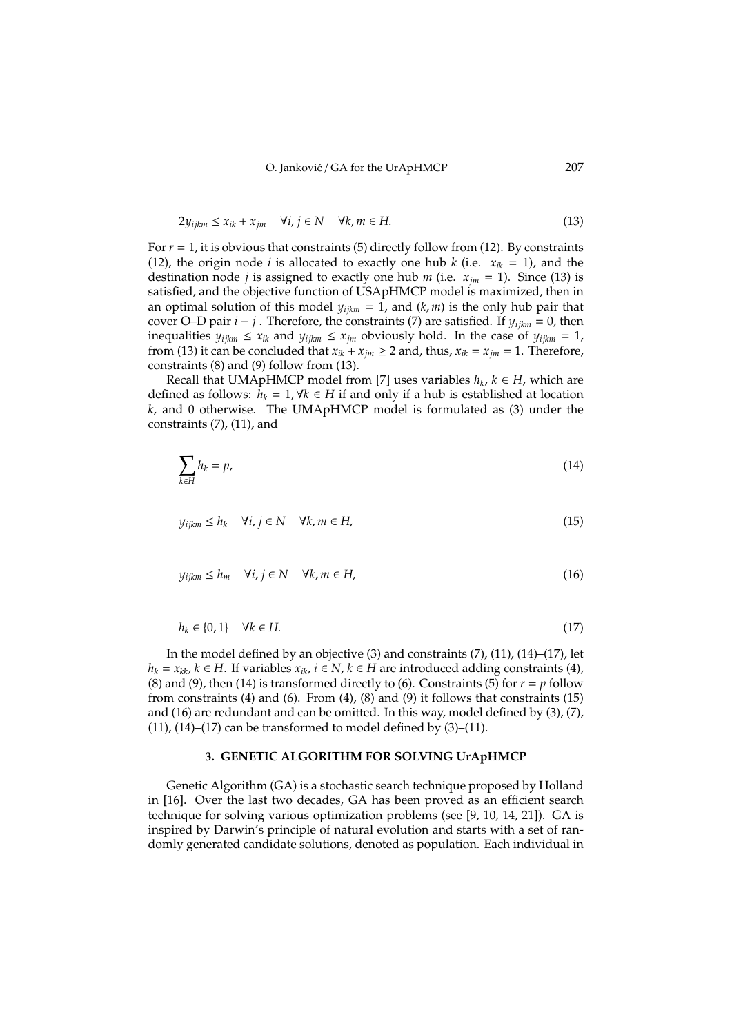$$
2y_{ijkm} \le x_{ik} + x_{jm} \quad \forall i, j \in \mathbb{N} \quad \forall k, m \in \mathbb{H}.\tag{13}
$$

For  $r = 1$ , it is obvious that constraints (5) directly follow from (12). By constraints (12), the origin node *i* is allocated to exactly one hub *k* (i.e.  $x_{ik} = 1$ ), and the destination node *j* is assigned to exactly one hub *m* (i.e.  $x_{jm} = 1$ ). Since (13) is satisfied, and the objective function of USApHMCP model is maximized, then in an optimal solution of this model  $y_{ijkm} = 1$ , and  $(k, m)$  is the only hub pair that cover O–D pair  $i - j$ . Therefore, the constraints (7) are satisfied. If  $y_{ijkm} = 0$ , then inequalities  $y_{ijkm} \leq x_{ik}$  and  $y_{ijkm} \leq x_{jm}$  obviously hold. In the case of  $y_{ijkm} = 1$ , from (13) it can be concluded that  $x_{ik} + x_{jm} \ge 2$  and, thus,  $x_{ik} = x_{jm} = 1$ . Therefore, constraints (8) and (9) follow from (13).

Recall that UMApHMCP model from [7] uses variables  $h_k$ ,  $k \in H$ , which are defined as follows:  $h_k = 1$ ,  $∀k ∈ H$  if and only if a hub is established at location *k*, and 0 otherwise. The UMApHMCP model is formulated as (3) under the constraints (7), (11), and

$$
\sum_{k \in H} h_k = p,\tag{14}
$$

$$
y_{ijkm} \le h_k \quad \forall i, j \in \mathbb{N} \quad \forall k, m \in \mathbb{H}, \tag{15}
$$

$$
y_{ijkm} \le h_m \quad \forall i, j \in \mathbb{N} \quad \forall k, m \in \mathbb{H}, \tag{16}
$$

$$
h_k \in \{0, 1\} \quad \forall k \in H. \tag{17}
$$

In the model defined by an objective (3) and constraints (7), (11), (14)–(17), let *h*<sub>*k*</sub> = *x*<sub>*kk*</sub>, *k* ∈ *H*. If variables  $x_{ik}$ , *i* ∈ *N*, *k* ∈ *H* are introduced adding constraints (4), (8) and (9), then (14) is transformed directly to (6). Constraints (5) for  $r = p$  follow from constraints (4) and (6). From (4), (8) and (9) it follows that constraints (15) and (16) are redundant and can be omitted. In this way, model defined by  $(3)$ ,  $(7)$ ,  $(11)$ ,  $(14)$ – $(17)$  can be transformed to model defined by  $(3)$ – $(11)$ .

#### **3. GENETIC ALGORITHM FOR SOLVING UrApHMCP**

Genetic Algorithm (GA) is a stochastic search technique proposed by Holland in [16]. Over the last two decades, GA has been proved as an efficient search technique for solving various optimization problems (see [9, 10, 14, 21]). GA is inspired by Darwin's principle of natural evolution and starts with a set of randomly generated candidate solutions, denoted as population. Each individual in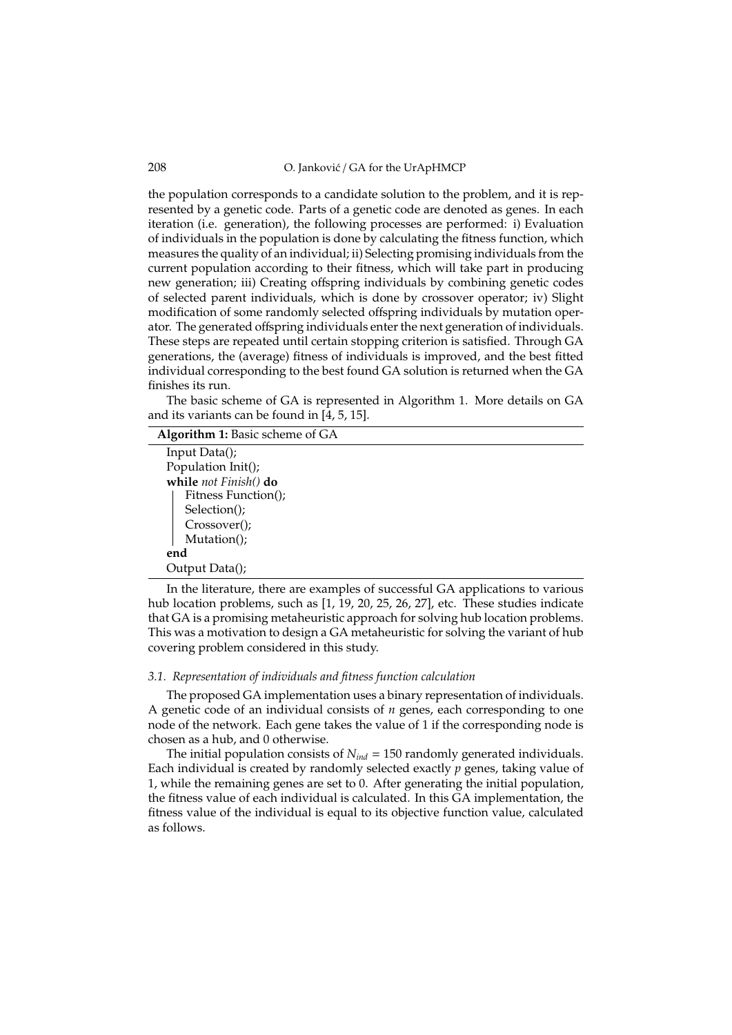208 O. Janković / GA for the UrApHMCP

the population corresponds to a candidate solution to the problem, and it is represented by a genetic code. Parts of a genetic code are denoted as genes. In each iteration (i.e. generation), the following processes are performed: i) Evaluation of individuals in the population is done by calculating the fitness function, which measures the quality of an individual; ii) Selecting promising individuals from the current population according to their fitness, which will take part in producing new generation; iii) Creating offspring individuals by combining genetic codes of selected parent individuals, which is done by crossover operator; iv) Slight modification of some randomly selected offspring individuals by mutation operator. The generated offspring individuals enter the next generation of individuals. These steps are repeated until certain stopping criterion is satisfied. Through GA generations, the (average) fitness of individuals is improved, and the best fitted individual corresponding to the best found GA solution is returned when the GA finishes its run.

The basic scheme of GA is represented in Algorithm 1. More details on GA and its variants can be found in [4, 5, 15].

| Algorithm 1: Basic scheme of GA |
|---------------------------------|
| Input Data();                   |
| Population Init();              |
| while not Finish() do           |
| Fitness Function();             |
| Selection();                    |
| Crossover();                    |
| Mutation();                     |
| end                             |
| Output Data();                  |

In the literature, there are examples of successful GA applications to various hub location problems, such as [1, 19, 20, 25, 26, 27], etc. These studies indicate that GA is a promising metaheuristic approach for solving hub location problems. This was a motivation to design a GA metaheuristic for solving the variant of hub covering problem considered in this study.

#### *3.1. Representation of individuals and fitness function calculation*

The proposed GA implementation uses a binary representation of individuals. A genetic code of an individual consists of *n* genes, each corresponding to one node of the network. Each gene takes the value of 1 if the corresponding node is chosen as a hub, and 0 otherwise.

The initial population consists of *Nind* = 150 randomly generated individuals. Each individual is created by randomly selected exactly *p* genes, taking value of 1, while the remaining genes are set to 0. After generating the initial population, the fitness value of each individual is calculated. In this GA implementation, the fitness value of the individual is equal to its objective function value, calculated as follows.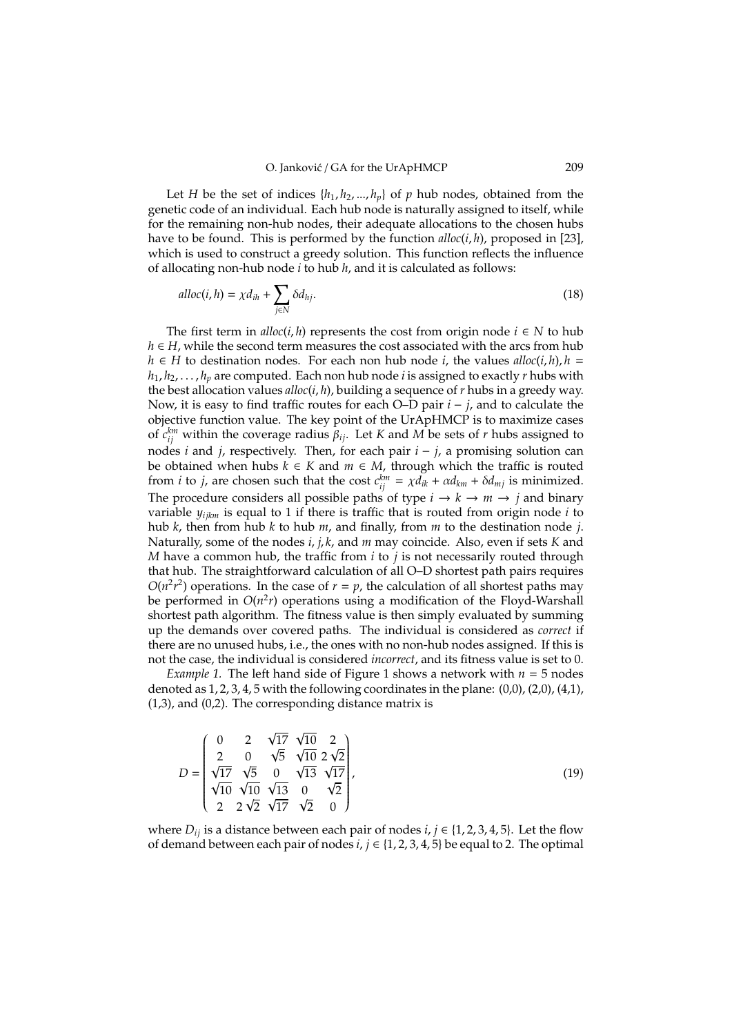Let *H* be the set of indices  $\{h_1, h_2, ..., h_p\}$  of *p* hub nodes, obtained from the genetic code of an individual. Each hub node is naturally assigned to itself, while for the remaining non-hub nodes, their adequate allocations to the chosen hubs have to be found. This is performed by the function *alloc*(*i*, *h*), proposed in [23], which is used to construct a greedy solution. This function reflects the influence of allocating non-hub node *i* to hub *h*, and it is calculated as follows:

$$
alloc(i, h) = \chi d_{ih} + \sum_{j \in N} \delta d_{hj}.
$$
\n(18)

The first term in  $\text{alloc}(i, h)$  represents the cost from origin node  $i \in N$  to hub *h* ∈ *H*, while the second term measures the cost associated with the arcs from hub *h* ∈ *H* to destination nodes. For each non hub node *i*, the values *alloc*(*i*, *h*), *h* =  $h_1, h_2, \ldots, h_n$  are computed. Each non hub node *i* is assigned to exactly *r* hubs with the best allocation values *alloc*(*i*, *h*), building a sequence of *r* hubs in a greedy way. Now, it is easy to find traffic routes for each O–D pair *i* − *j*, and to calculate the objective function value. The key point of the UrApHMCP is to maximize cases of  $c_{ij}^{km}$  within the coverage radius  $\beta_{ij}$ . Let *K* and *M* be sets of *r* hubs assigned to nodes *i* and *j*, respectively. Then, for each pair *i* − *j*, a promising solution can be obtained when hubs  $k \in K$  and  $m \in M$ , through which the traffic is routed from *i* to *j*, are chosen such that the cost  $c_{ij}^{km} = \chi d_{ik} + \alpha d_{km} + \delta d_{mj}$  is minimized. The procedure considers all possible paths of type  $i \rightarrow k \rightarrow m \rightarrow j$  and binary variable *yijkm* is equal to 1 if there is traffic that is routed from origin node *i* to hub *k*, then from hub *k* to hub *m*, and finally, from *m* to the destination node *j*. Naturally, some of the nodes *i*, *j*, *k*, and *m* may coincide. Also, even if sets *K* and *M* have a common hub, the traffic from *i* to *j* is not necessarily routed through that hub. The straightforward calculation of all O–D shortest path pairs requires  $O(n^2r^2)$  operations. In the case of  $r = p$ , the calculation of all shortest paths may be performed in  $O(n^2r)$  operations using a modification of the Floyd-Warshall shortest path algorithm. The fitness value is then simply evaluated by summing up the demands over covered paths. The individual is considered as *correct* if there are no unused hubs, i.e., the ones with no non-hub nodes assigned. If this is not the case, the individual is considered *incorrect*, and its fitness value is set to 0.

*Example 1.* The left hand side of Figure 1 shows a network with *n* = 5 nodes denoted as  $1, 2, 3, 4, 5$  with the following coordinates in the plane:  $(0,0)$ ,  $(2,0)$ ,  $(4,1)$ , (1,3), and (0,2). The corresponding distance matrix is

$$
D = \begin{pmatrix} 0 & 2 & \sqrt{17} & \sqrt{10} & 2 \\ 2 & 0 & \sqrt{5} & \sqrt{10} & 2\sqrt{2} \\ \sqrt{17} & \sqrt{5} & 0 & \sqrt{13} & \sqrt{17} \\ \sqrt{10} & \sqrt{10} & \sqrt{13} & 0 & \sqrt{2} \\ 2 & 2\sqrt{2} & \sqrt{17} & \sqrt{2} & 0 \end{pmatrix},
$$
(19)

where  $D_{ij}$  is a distance between each pair of nodes *i*,  $j \in \{1, 2, 3, 4, 5\}$ . Let the flow of demand between each pair of nodes  $i, j \in \{1, 2, 3, 4, 5\}$  be equal to 2. The optimal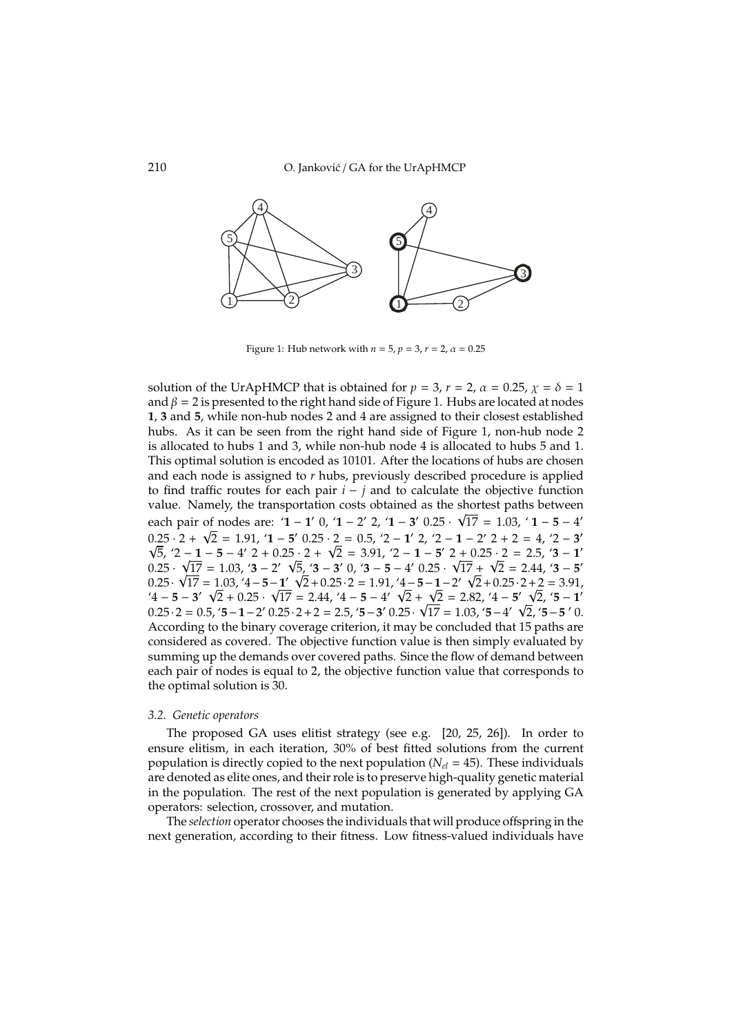

Figure 1: Hub network with  $n = 5$ ,  $p = 3$ ,  $r = 2$ ,  $\alpha = 0.25$ 

solution of the UrApHMCP that is obtained for  $p = 3$ ,  $r = 2$ ,  $\alpha = 0.25$ ,  $\chi = \delta = 1$ and  $\beta = 2$  is presented to the right hand side of Figure 1. Hubs are located at nodes **1**, **3** and **5**, while non-hub nodes 2 and 4 are assigned to their closest established hubs. As it can be seen from the right hand side of Figure 1, non-hub node 2 is allocated to hubs 1 and 3, while non-hub node 4 is allocated to hubs 5 and 1. This optimal solution is encoded as 10101. After the locations of hubs are chosen and each node is assigned to *r* hubs, previously described procedure is applied to find traffic routes for each pair *i* − *j* and to calculate the objective function value. Namely, the transportation costs obtained as the shortest paths between each pair of nodes are: '**1** − **1**' 0, '**1** − 2' 2, '**1** − 3' 0.25 ·  $\sqrt{17}$  = 1.03, '**1** − **5** − 4'  $0.25 \cdot 2 + \sqrt{2} = 1.91$ ,  $\angle 1 - 5'$   $0.25 \cdot 2 = 0.5$ ,  $\angle 2 - 1'$   $2$ ,  $\angle 2 - 1 - 2'$   $2 + 2 = 4$ ,  $\angle 2 - 3'$  $\overline{5}$ ,  $\overline{2}$  - **1** − **5** − 4' 2 + 0.25 · 2 +  $\sqrt{2}$  = 3.91,  $\overline{2}$  - **1** − **5**' 2 + 0.25 · 2 = 2.5,  $\overline{3}$  - **1**'  $0.25 \cdot$ √  $\frac{1}{17}$  = 1.03, '3 − 2'  $\sqrt{ }$  $\overline{5}$ , '**3** − **3**' 0, '**3** − **5** − 4' 0.25 · √  $17 +$  $\overline{2}$  $\sqrt{17}$  = 1.03, '**3** – 2'  $\sqrt{5}$ , '**3** – **3**' 0, '**3** – **5** – 4' 0.25 ·  $\sqrt{17}$  +  $\sqrt{2}$  = 2.44, '**3** – **5**' 0.25 ·  $\sqrt{17} = 1.03, 4 - 5 - 1$   $\sqrt{2} + 0.25$  · 2 = 1.91,  $4 - 5 - 1 - 2$   $\sqrt{2} + 0.25$  · 2 + 2 = 3.91,  $\sqrt{4} - 5 - 3'$   $\sqrt{2} + 0.25 \cdot \sqrt{17} = 2.44$ ,  $\sqrt{4} - 5 - 4'$   $\sqrt{2} + \sqrt{2} = 2.82$ ,  $\sqrt{4} - 5'$   $\sqrt{2}$ ,  $\sqrt{5} - 1'$  $0.25 \cdot 2 = 0.5$ ,  $5 - 1 - 2'$ ,  $0.25 \cdot 2 + 2 = 2.5$ ,  $5 - 3'$ ,  $0.25 \cdot \sqrt{17} = 1.03$ ,  $5 - 4'$ ,  $\sqrt{2}$ ,  $5 - 5'$ , 0. According to the binary coverage criterion, it may be concluded that 15 paths are considered as covered. The objective function value is then simply evaluated by summing up the demands over covered paths. Since the flow of demand between each pair of nodes is equal to 2, the objective function value that corresponds to the optimal solution is 30.

#### *3.2. Genetic operators*

The proposed GA uses elitist strategy (see e.g. [20, 25, 26]). In order to ensure elitism, in each iteration, 30% of best fitted solutions from the current population is directly copied to the next population (*Nel* = 45). These individuals are denoted as elite ones, and their role is to preserve high-quality genetic material in the population. The rest of the next population is generated by applying GA operators: selection, crossover, and mutation.

The *selection* operator chooses the individuals that will produce offspring in the next generation, according to their fitness. Low fitness-valued individuals have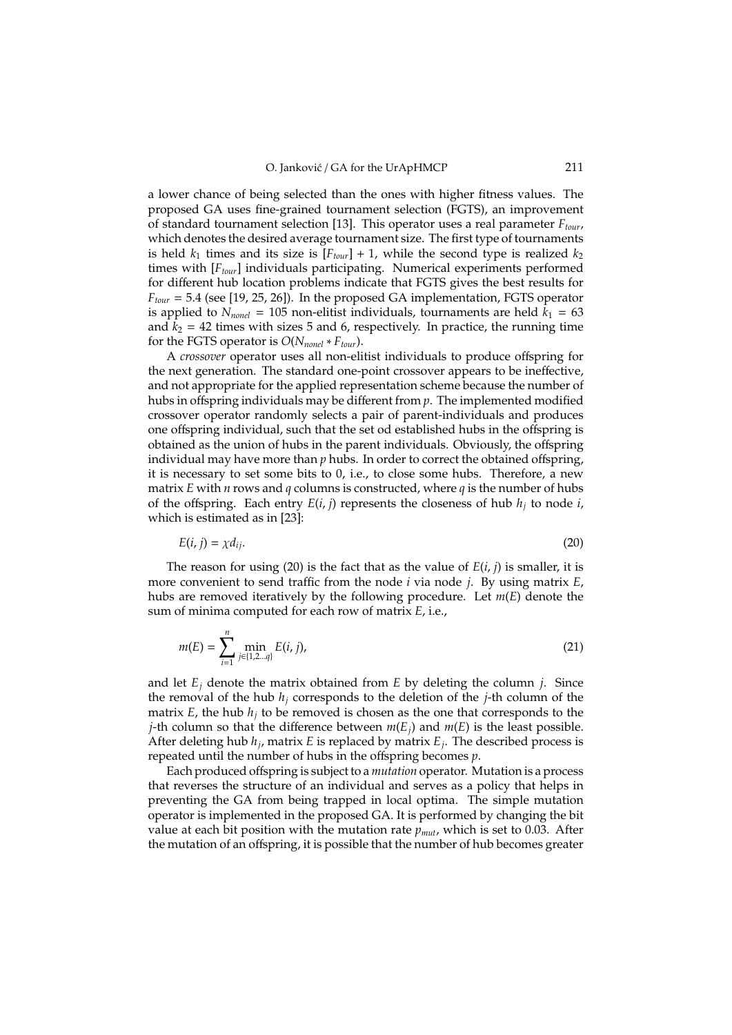a lower chance of being selected than the ones with higher fitness values. The proposed GA uses fine-grained tournament selection (FGTS), an improvement of standard tournament selection [13]. This operator uses a real parameter *Ftour*, which denotes the desired average tournament size. The first type of tournaments is held  $k_1$  times and its size is  $[F_{tour}] + 1$ , while the second type is realized  $k_2$ times with [*Ftour*] individuals participating. Numerical experiments performed for different hub location problems indicate that FGTS gives the best results for *Ftour* = 5.4 (see [19, 25, 26]). In the proposed GA implementation, FGTS operator is applied to  $N_{nonel} = 105$  non-elitist individuals, tournaments are held  $k_1 = 63$ and  $k_2 = 42$  times with sizes 5 and 6, respectively. In practice, the running time for the FGTS operator is *O*(*Nnonel* ∗ *Ftour*).

A *crossover* operator uses all non-elitist individuals to produce offspring for the next generation. The standard one-point crossover appears to be ineffective, and not appropriate for the applied representation scheme because the number of hubs in offspring individuals may be different from *p*. The implemented modified crossover operator randomly selects a pair of parent-individuals and produces one offspring individual, such that the set od established hubs in the offspring is obtained as the union of hubs in the parent individuals. Obviously, the offspring individual may have more than *p* hubs. In order to correct the obtained offspring, it is necessary to set some bits to 0, i.e., to close some hubs. Therefore, a new matrix *E* with *n* rows and *q* columns is constructed, where *q* is the number of hubs of the offspring. Each entry  $E(i, j)$  represents the closeness of hub  $h_j$  to node  $i$ , which is estimated as in [23]:

$$
E(i, j) = \chi d_{ij}.\tag{20}
$$

The reason for using (20) is the fact that as the value of *E*(*i*, *j*) is smaller, it is more convenient to send traffic from the node *i* via node *j*. By using matrix *E*, hubs are removed iteratively by the following procedure. Let *m*(*E*) denote the sum of minima computed for each row of matrix *E*, i.e.,

$$
m(E) = \sum_{i=1}^{n} \min_{j \in \{1, 2 \dots q\}} E(i, j),
$$
 (21)

and let  $E_i$  denote the matrix obtained from  $E$  by deleting the column  $i$ . Since the removal of the hub  $h_j$  corresponds to the deletion of the  $j$ -th column of the matrix  $E$ , the hub  $h_i$  to be removed is chosen as the one that corresponds to the *j*-th column so that the difference between  $m(E_i)$  and  $m(E)$  is the least possible. After deleting hub *h<sup>j</sup>* , matrix *E* is replaced by matrix *E<sup>j</sup>* . The described process is repeated until the number of hubs in the offspring becomes *p*.

Each produced offspring is subject to a *mutation* operator. Mutation is a process that reverses the structure of an individual and serves as a policy that helps in preventing the GA from being trapped in local optima. The simple mutation operator is implemented in the proposed GA. It is performed by changing the bit value at each bit position with the mutation rate *pmut*, which is set to 0.03. After the mutation of an offspring, it is possible that the number of hub becomes greater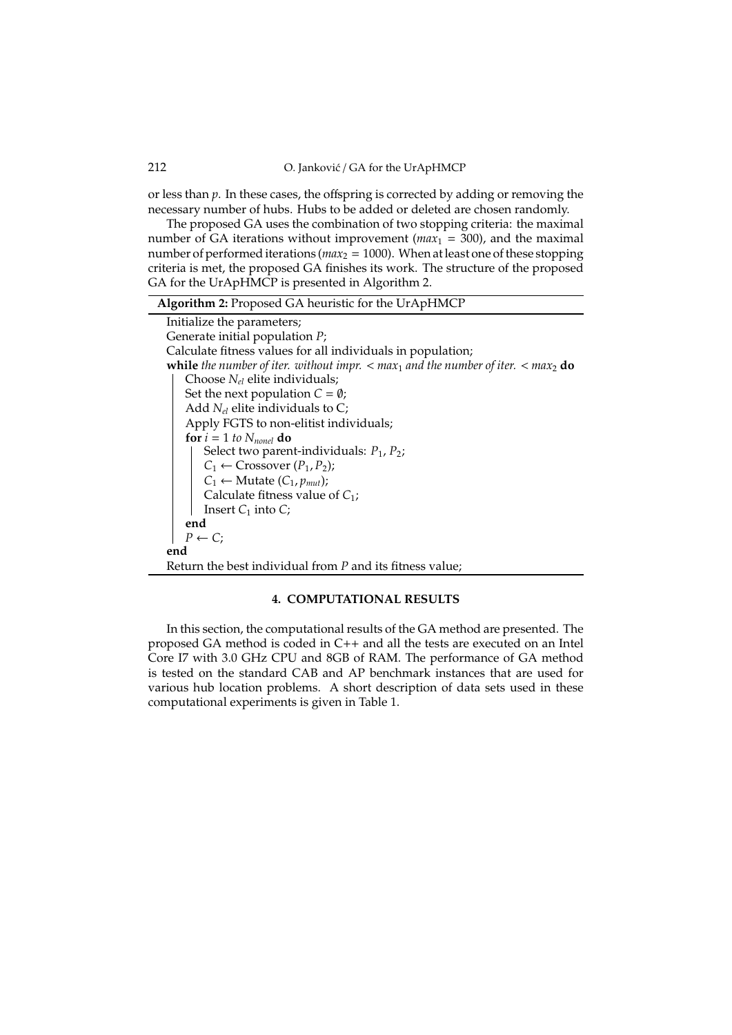212 O. Janković / GA for the UrApHMCP

or less than *p*. In these cases, the offspring is corrected by adding or removing the necessary number of hubs. Hubs to be added or deleted are chosen randomly.

The proposed GA uses the combination of two stopping criteria: the maximal number of GA iterations without improvement ( $max_1 = 300$ ), and the maximal number of performed iterations ( $max_2$  = 1000). When at least one of these stopping criteria is met, the proposed GA finishes its work. The structure of the proposed GA for the UrApHMCP is presented in Algorithm 2.

### **4. COMPUTATIONAL RESULTS**

In this section, the computational results of the GA method are presented. The proposed GA method is coded in C++ and all the tests are executed on an Intel Core I7 with 3.0 GHz CPU and 8GB of RAM. The performance of GA method is tested on the standard CAB and AP benchmark instances that are used for various hub location problems. A short description of data sets used in these computational experiments is given in Table 1.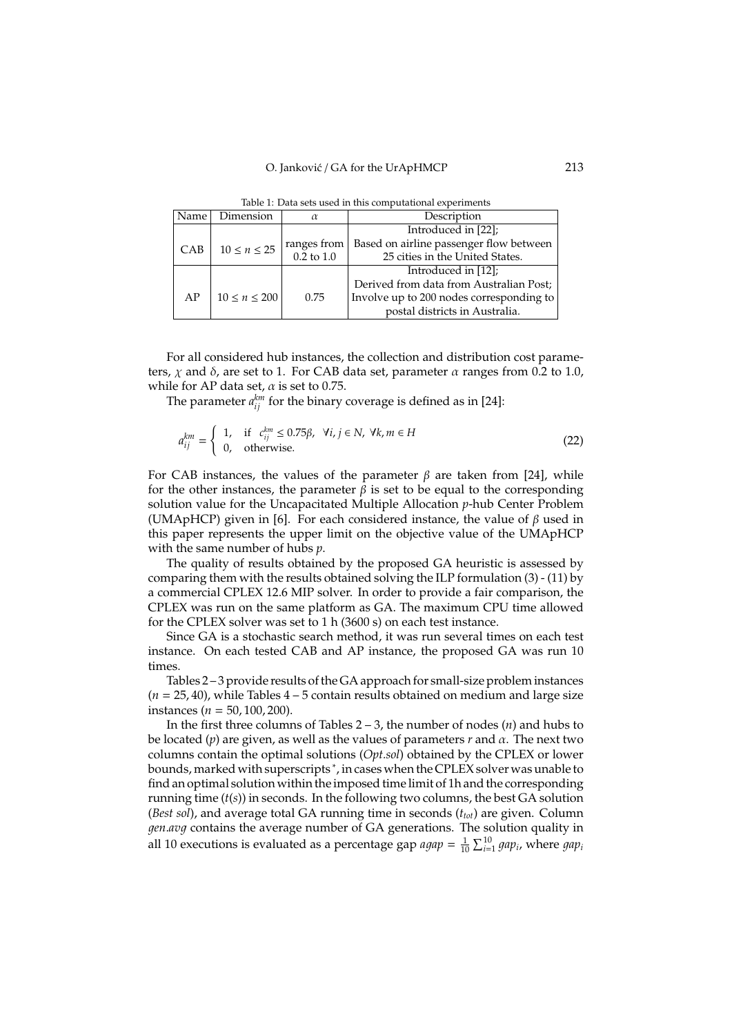| Name <sup>1</sup> | Dimension           | Description<br>$\alpha$ |                                          |  |  |
|-------------------|---------------------|-------------------------|------------------------------------------|--|--|
|                   |                     |                         | Introduced in [22];                      |  |  |
| CAB               | $10 \leq n \leq 25$ | ranges from             | Based on airline passenger flow between  |  |  |
|                   |                     | $0.2$ to $1.0\,$        | 25 cities in the United States.          |  |  |
|                   |                     |                         | Introduced in [12];                      |  |  |
|                   |                     |                         | Derived from data from Australian Post;  |  |  |
| AP                | $10 \le n \le 200$  | 0.75                    | Involve up to 200 nodes corresponding to |  |  |
|                   |                     |                         | postal districts in Australia.           |  |  |

Table 1: Data sets used in this computational experiments

For all considered hub instances, the collection and distribution cost parameters,  $\chi$  and  $\delta$ , are set to 1. For CAB data set, parameter  $\alpha$  ranges from 0.2 to 1.0, while for AP data set,  $\alpha$  is set to 0.75.

The parameter  $a_{ij}^{km}$  for the binary coverage is defined as in [24]:

*a*

$$
a_{ij}^{km} = \begin{cases} 1, & \text{if } c_{ij}^{km} \le 0.75\beta, \ \forall i, j \in \mathbb{N}, \ \forall k, m \in \mathbb{H} \\ 0, & \text{otherwise.} \end{cases}
$$
 (22)

For CAB instances, the values of the parameter  $\beta$  are taken from [24], while for the other instances, the parameter  $\beta$  is set to be equal to the corresponding solution value for the Uncapacitated Multiple Allocation *p*-hub Center Problem (UMApHCP) given in [6]. For each considered instance, the value of  $\beta$  used in this paper represents the upper limit on the objective value of the UMApHCP with the same number of hubs *p*.

The quality of results obtained by the proposed GA heuristic is assessed by comparing them with the results obtained solving the ILP formulation (3) - (11) by a commercial CPLEX 12.6 MIP solver. In order to provide a fair comparison, the CPLEX was run on the same platform as GA. The maximum CPU time allowed for the CPLEX solver was set to 1 h (3600 s) on each test instance.

Since GA is a stochastic search method, it was run several times on each test instance. On each tested CAB and AP instance, the proposed GA was run 10 times.

Tables 2 – 3 provide results of the GA approach for small-size problem instances  $(n = 25, 40)$ , while Tables  $4 - 5$  contain results obtained on medium and large size instances (*n* = 50, 100, 200).

In the first three columns of Tables 2 – 3, the number of nodes (*n*) and hubs to be located (*p*) are given, as well as the values of parameters *r* and α. The next two columns contain the optimal solutions (*Opt.sol*) obtained by the CPLEX or lower bounds, marked with superscripts <sup>∗</sup> , in cases when the CPLEX solver was unable to find an optimal solution within the imposed time limit of 1h and the corresponding running time (*t*(*s*)) in seconds. In the following two columns, the best GA solution (*Best sol*), and average total GA running time in seconds (*ttot*) are given. Column 1*en*.*av*1 contains the average number of GA generations. The solution quality in all 10 executions is evaluated as a percentage gap  $a gap = \frac{1}{10} \sum_{i=1}^{10} gap_i$ , where  $gap_i$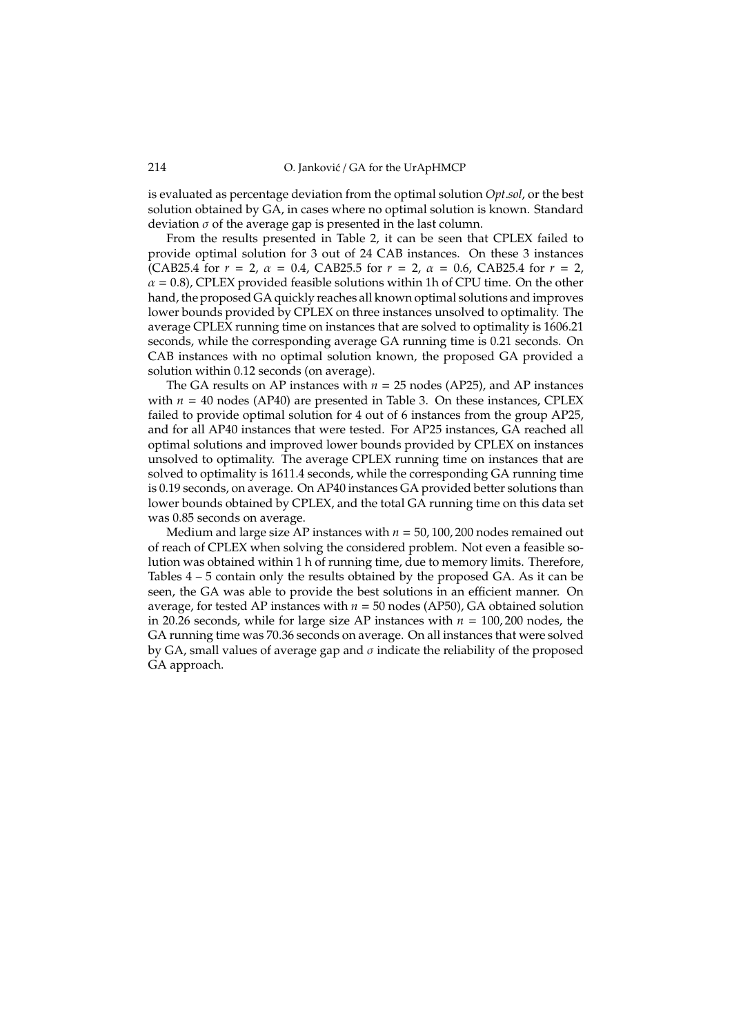is evaluated as percentage deviation from the optimal solution *Opt*.*sol*, or the best solution obtained by GA, in cases where no optimal solution is known. Standard deviation  $\sigma$  of the average gap is presented in the last column.

From the results presented in Table 2, it can be seen that CPLEX failed to provide optimal solution for 3 out of 24 CAB instances. On these 3 instances (CAB25.4 for  $r = 2$ ,  $\alpha = 0.4$ , CAB25.5 for  $r = 2$ ,  $\alpha = 0.6$ , CAB25.4 for  $r = 2$ ,  $\alpha$  = 0.8), CPLEX provided feasible solutions within 1h of CPU time. On the other hand, the proposed GA quickly reaches all known optimal solutions and improves lower bounds provided by CPLEX on three instances unsolved to optimality. The average CPLEX running time on instances that are solved to optimality is 1606.21 seconds, while the corresponding average GA running time is 0.21 seconds. On CAB instances with no optimal solution known, the proposed GA provided a solution within 0.12 seconds (on average).

The GA results on AP instances with  $n = 25$  nodes (AP25), and AP instances with  $n = 40$  nodes (AP40) are presented in Table 3. On these instances, CPLEX failed to provide optimal solution for 4 out of 6 instances from the group AP25, and for all AP40 instances that were tested. For AP25 instances, GA reached all optimal solutions and improved lower bounds provided by CPLEX on instances unsolved to optimality. The average CPLEX running time on instances that are solved to optimality is 1611.4 seconds, while the corresponding GA running time is 0.19 seconds, on average. On AP40 instances GA provided better solutions than lower bounds obtained by CPLEX, and the total GA running time on this data set was 0.85 seconds on average.

Medium and large size AP instances with  $n = 50$ , 100, 200 nodes remained out of reach of CPLEX when solving the considered problem. Not even a feasible solution was obtained within 1 h of running time, due to memory limits. Therefore, Tables 4 – 5 contain only the results obtained by the proposed GA. As it can be seen, the GA was able to provide the best solutions in an efficient manner. On average, for tested AP instances with  $n = 50$  nodes (AP50), GA obtained solution in 20.26 seconds, while for large size AP instances with  $n = 100, 200$  nodes, the GA running time was 70.36 seconds on average. On all instances that were solved by GA, small values of average gap and  $\sigma$  indicate the reliability of the proposed GA approach.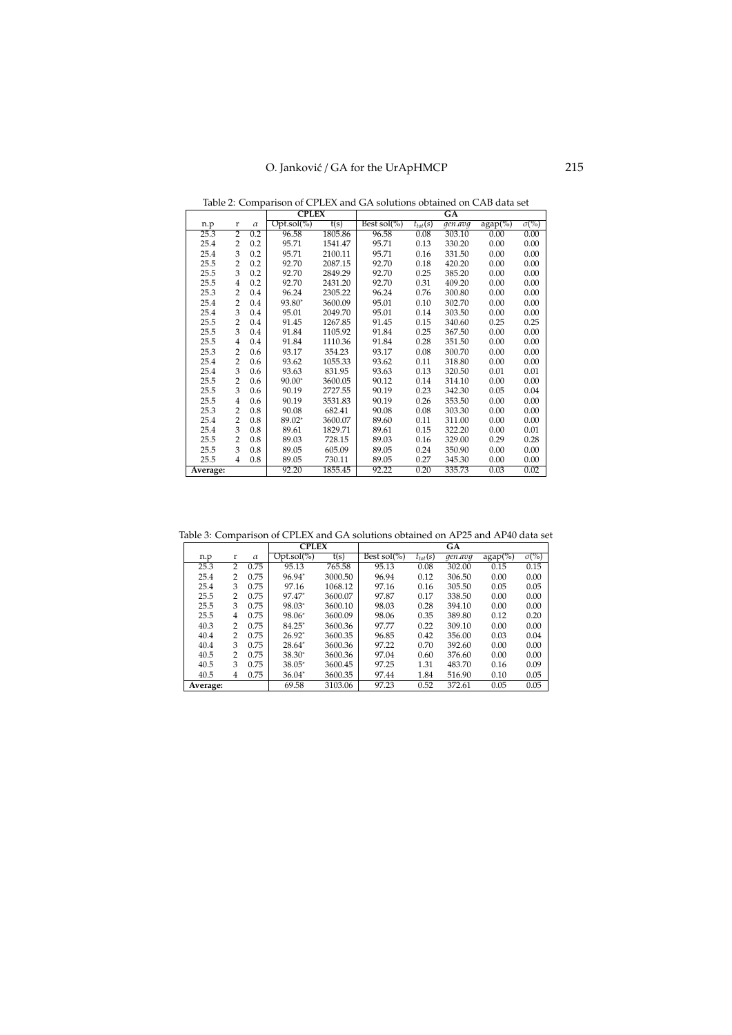Table 2: Comparison of CPLEX and GA solutions obtained on CAB data set

|          |                |          | <b>CPLEX</b>  |         | GA              |              |         |            |                         |
|----------|----------------|----------|---------------|---------|-----------------|--------------|---------|------------|-------------------------|
| n.p      | r              | $\alpha$ | $Opt.sol(\%)$ | t(s)    | Best sol $(\%)$ | $t_{tot}(s)$ | gen.avq | $agap(\%)$ | $\sigma$ <sup>(%)</sup> |
| 25.3     | $\overline{2}$ | 0.2      | 96.58         | 1805.86 | 96.58           | 0.08         | 303.10  | 0.00       | 0.00                    |
| 25.4     | $\overline{2}$ | 0.2      | 95.71         | 1541.47 | 95.71           | 0.13         | 330.20  | 0.00       | 0.00                    |
| 25.4     | 3              | 0.2      | 95.71         | 2100.11 | 95.71           | 0.16         | 331.50  | 0.00       | 0.00                    |
| 25.5     | $\overline{2}$ | 0.2      | 92.70         | 2087.15 | 92.70           | 0.18         | 420.20  | 0.00       | 0.00                    |
| 25.5     | 3              | 0.2      | 92.70         | 2849.29 | 92.70           | 0.25         | 385.20  | 0.00       | 0.00                    |
| 25.5     | $\overline{4}$ | 0.2      | 92.70         | 2431.20 | 92.70           | 0.31         | 409.20  | 0.00       | 0.00                    |
| 25.3     | $\overline{2}$ | 0.4      | 96.24         | 2305.22 | 96.24           | 0.76         | 300.80  | 0.00       | 0.00                    |
| 25.4     | $\overline{2}$ | 0.4      | 93.80*        | 3600.09 | 95.01           | 0.10         | 302.70  | 0.00       | 0.00                    |
| 25.4     | 3              | 0.4      | 95.01         | 2049.70 | 95.01           | 0.14         | 303.50  | 0.00       | 0.00                    |
| 25.5     | 2              | 0.4      | 91.45         | 1267.85 | 91.45           | 0.15         | 340.60  | 0.25       | 0.25                    |
| 25.5     | 3              | 0.4      | 91.84         | 1105.92 | 91.84           | 0.25         | 367.50  | 0.00       | 0.00                    |
| 25.5     | $\overline{4}$ | 0.4      | 91.84         | 1110.36 | 91.84           | 0.28         | 351.50  | 0.00       | 0.00                    |
| 25.3     | $\overline{2}$ | 0.6      | 93.17         | 354.23  | 93.17           | 0.08         | 300.70  | 0.00       | 0.00                    |
| 25.4     | $\overline{2}$ | 0.6      | 93.62         | 1055.33 | 93.62           | 0.11         | 318.80  | 0.00       | 0.00                    |
| 25.4     | 3              | 0.6      | 93.63         | 831.95  | 93.63           | 0.13         | 320.50  | 0.01       | 0.01                    |
| 25.5     | $\overline{2}$ | 0.6      | $90.00*$      | 3600.05 | 90.12           | 0.14         | 314.10  | 0.00       | 0.00                    |
| 25.5     | 3              | 0.6      | 90.19         | 2727.55 | 90.19           | 0.23         | 342.30  | 0.05       | 0.04                    |
| 25.5     | $\overline{4}$ | 0.6      | 90.19         | 3531.83 | 90.19           | 0.26         | 353.50  | 0.00       | 0.00                    |
| 25.3     | $\overline{2}$ | 0.8      | 90.08         | 682.41  | 90.08           | 0.08         | 303.30  | 0.00       | 0.00                    |
| 25.4     | $\overline{2}$ | 0.8      | 89.02*        | 3600.07 | 89.60           | 0.11         | 311.00  | 0.00       | 0.00                    |
| 25.4     | 3              | 0.8      | 89.61         | 1829.71 | 89.61           | 0.15         | 322.20  | 0.00       | 0.01                    |
| 25.5     | $\overline{2}$ | 0.8      | 89.03         | 728.15  | 89.03           | 0.16         | 329.00  | 0.29       | 0.28                    |
| 25.5     | 3              | 0.8      | 89.05         | 605.09  | 89.05           | 0.24         | 350.90  | 0.00       | 0.00                    |
| 25.5     | $\overline{4}$ | 0.8      | 89.05         | 730.11  | 89.05           | 0.27         | 345.30  | 0.00       | 0.00                    |
| Average: |                |          | 92.20         | 1855.45 | 92.22           | 0.20         | 335.73  | 0.03       | 0.02                    |

Table 3: Comparison of CPLEX and GA solutions obtained on AP25 and AP40 data set

|          |               |          | <b>CPLEX</b>  |         | GA              |              |         |            |                          |
|----------|---------------|----------|---------------|---------|-----------------|--------------|---------|------------|--------------------------|
| n.p      | r             | $\alpha$ | $Opt.sol(\%)$ | t(s)    | Best sol $(\%)$ | $t_{tot}(s)$ | gen.avg | $agap(\%)$ | $\sigma$ <sup>(%</sup> ) |
| 25.3     | $\mathcal{P}$ | 0.75     | 95.13         | 765.58  | 95.13           | 0.08         | 302.00  | 0.15       | 0.15                     |
| 25.4     | 2             | 0.75     | 96.94*        | 3000.50 | 96.94           | 0.12         | 306.50  | 0.00       | 0.00                     |
| 25.4     | 3             | 0.75     | 97.16         | 1068.12 | 97.16           | 0.16         | 305.50  | 0.05       | 0.05                     |
| 25.5     | 2             | 0.75     | 97.47*        | 3600.07 | 97.87           | 0.17         | 338.50  | 0.00       | 0.00                     |
| 25.5     | 3             | 0.75     | 98.03*        | 3600.10 | 98.03           | 0.28         | 394.10  | 0.00       | 0.00                     |
| 25.5     | 4             | 0.75     | 98.06*        | 3600.09 | 98.06           | 0.35         | 389.80  | 0.12       | 0.20                     |
| 40.3     | 2             | 0.75     | 84.25*        | 3600.36 | 97.77           | 0.22         | 309.10  | 0.00       | 0.00                     |
| 40.4     | 2             | 0.75     | $26.92*$      | 3600.35 | 96.85           | 0.42         | 356.00  | 0.03       | 0.04                     |
| 40.4     | 3             | 0.75     | 28.64*        | 3600.36 | 97.22           | 0.70         | 392.60  | 0.00       | 0.00                     |
| 40.5     | 2             | 0.75     | $38.30*$      | 3600.36 | 97.04           | 0.60         | 376.60  | 0.00       | 0.00                     |
| 40.5     | 3             | 0.75     | $38.05*$      | 3600.45 | 97.25           | 1.31         | 483.70  | 0.16       | 0.09                     |
| 40.5     | 4             | 0.75     | $36.04*$      | 3600.35 | 97.44           | 1.84         | 516.90  | 0.10       | 0.05                     |
| Average: |               |          | 69.58         | 3103.06 | 97.23           | 0.52         | 372.61  | 0.05       | 0.05                     |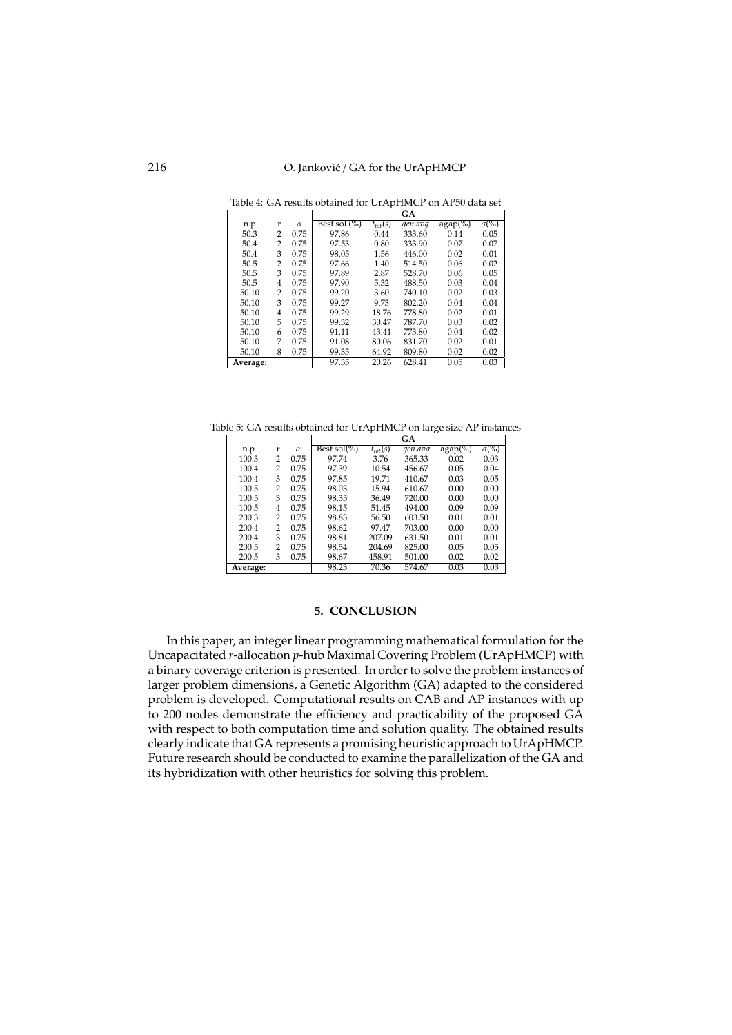|          |                |          |                 |              | GА      |            |                         |
|----------|----------------|----------|-----------------|--------------|---------|------------|-------------------------|
| n.p      | r              | $\alpha$ | Best sol $(\%)$ | $t_{tot}(s)$ | gen.avg | $agap(\%)$ | $\sigma$ <sup>(%)</sup> |
| 50.3     | $\overline{2}$ | 0.75     | 97.86           | 0.44         | 333.60  | 0.14       | 0.05                    |
| 50.4     | 2              | 0.75     | 97.53           | 0.80         | 333.90  | 0.07       | 0.07                    |
| 50.4     | 3              | 0.75     | 98.05           | 1.56         | 446.00  | 0.02       | 0.01                    |
| 50.5     | 2              | 0.75     | 97.66           | 1.40         | 514.50  | 0.06       | 0.02                    |
| 50.5     | 3              | 0.75     | 97.89           | 2.87         | 528.70  | 0.06       | 0.05                    |
| 50.5     | 4              | 0.75     | 97.90           | 5.32         | 488.50  | 0.03       | 0.04                    |
| 50.10    | 2              | 0.75     | 99.20           | 3.60         | 740.10  | 0.02       | 0.03                    |
| 50.10    | 3              | 0.75     | 99.27           | 9.73         | 802.20  | 0.04       | 0.04                    |
| 50.10    | 4              | 0.75     | 99.29           | 18.76        | 778.80  | 0.02       | 0.01                    |
| 50.10    | 5              | 0.75     | 99.32           | 30.47        | 787.70  | 0.03       | 0.02                    |
| 50.10    | 6              | 0.75     | 91.11           | 43.41        | 773.80  | 0.04       | 0.02                    |
| 50.10    | 7              | 0.75     | 91.08           | 80.06        | 831.70  | 0.02       | 0.01                    |
| 50.10    | 8              | 0.75     | 99.35           | 64.92        | 809.80  | 0.02       | 0.02                    |
| Average: |                |          | 97.35           | 20.26        | 628.41  | 0.05       | 0.03                    |

Table 4: GA results obtained for UrApHMCP on AP50 data set

Table 5: GA results obtained for UrApHMCP on large size AP instances

|          |   |          | GА              |              |         |            |                          |  |
|----------|---|----------|-----------------|--------------|---------|------------|--------------------------|--|
| n.p      | r | $\alpha$ | Best sol $(\%)$ | $t_{tot}(s)$ | gen.avq | $agap(\%)$ | $\sigma$ <sup>(%</sup> ) |  |
| 100.3    | 2 | 0.75     | 97.74           | 3.76         | 365.33  | 0.02       | 0.03                     |  |
| 100.4    | 2 | 0.75     | 97.39           | 10.54        | 456.67  | 0.05       | 0.04                     |  |
| 100.4    | 3 | 0.75     | 97.85           | 19.71        | 410.67  | 0.03       | 0.05                     |  |
| 100.5    | 2 | 0.75     | 98.03           | 15.94        | 610.67  | 0.00       | 0.00                     |  |
| 100.5    | 3 | 0.75     | 98.35           | 36.49        | 720.00  | 0.00       | 0.00                     |  |
| 100.5    | 4 | 0.75     | 98.15           | 51.45        | 494.00  | 0.09       | 0.09                     |  |
| 200.3    | 2 | 0.75     | 98.83           | 56.50        | 603.50  | 0.01       | 0.01                     |  |
| 200.4    | 2 | 0.75     | 98.62           | 97.47        | 703.00  | 0.00       | 0.00                     |  |
| 200.4    | 3 | 0.75     | 98.81           | 207.09       | 631.50  | 0.01       | 0.01                     |  |
| 200.5    | 2 | 0.75     | 98.54           | 204.69       | 825.00  | 0.05       | 0.05                     |  |
| 200.5    | 3 | 0.75     | 98.67           | 458.91       | 501.00  | 0.02       | 0.02                     |  |
| Average: |   |          | 98.23           | 70.36        | 574.67  | 0.03       | 0.03                     |  |

## **5. CONCLUSION**

In this paper, an integer linear programming mathematical formulation for the Uncapacitated *r*-allocation *p*-hub Maximal Covering Problem (UrApHMCP) with a binary coverage criterion is presented. In order to solve the problem instances of larger problem dimensions, a Genetic Algorithm (GA) adapted to the considered problem is developed. Computational results on CAB and AP instances with up to 200 nodes demonstrate the efficiency and practicability of the proposed GA with respect to both computation time and solution quality. The obtained results clearly indicate that GA represents a promising heuristic approach to UrApHMCP. Future research should be conducted to examine the parallelization of the GA and its hybridization with other heuristics for solving this problem.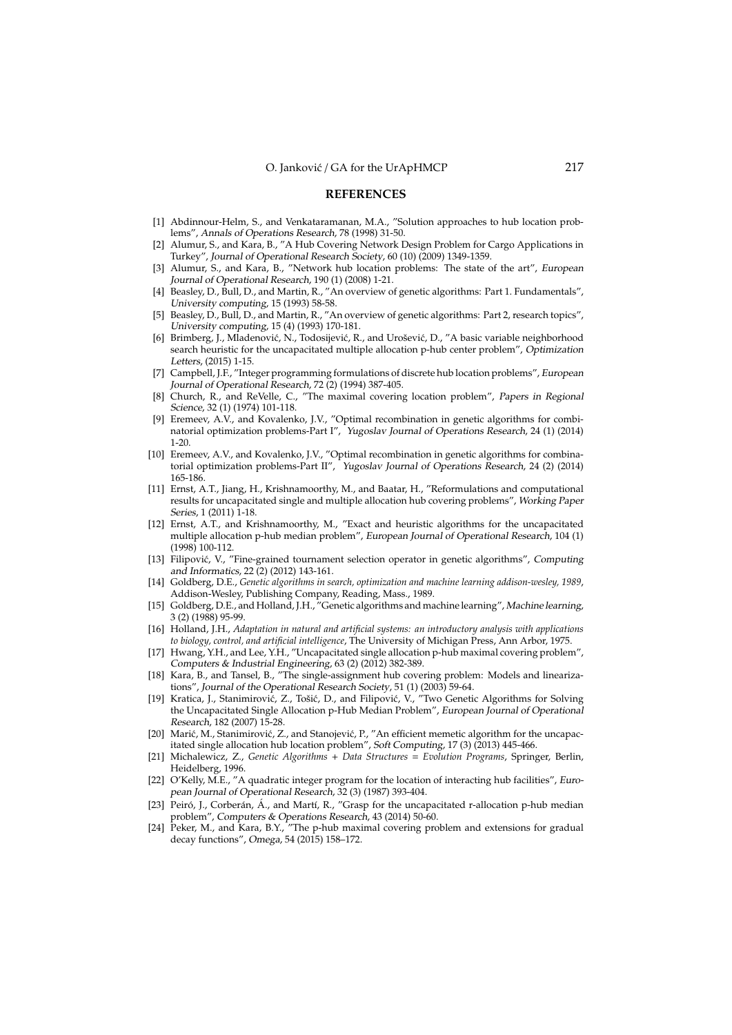#### **REFERENCES**

- [1] Abdinnour-Helm, S., and Venkataramanan, M.A., "Solution approaches to hub location problems", Annals of Operations Research, 78 (1998) 31-50.
- [2] Alumur, S., and Kara, B., "A Hub Covering Network Design Problem for Cargo Applications in Turkey", Journal of Operational Research Society, 60 (10) (2009) 1349-1359.
- [3] Alumur, S., and Kara, B., "Network hub location problems: The state of the art", European Journal of Operational Research, 190 (1) (2008) 1-21.
- [4] Beasley, D., Bull, D., and Martin, R., "An overview of genetic algorithms: Part 1. Fundamentals", University computing, 15 (1993) 58-58.
- [5] Beasley, D., Bull, D., and Martin, R., "An overview of genetic algorithms: Part 2, research topics", University computing, 15 (4) (1993) 170-181.
- [6] Brimberg, J., Mladenović, N., Todosijević, R., and Urošević, D., "A basic variable neighborhood search heuristic for the uncapacitated multiple allocation p-hub center problem", Optimization Letters, (2015) 1-15.
- [7] Campbell, J.F., "Integer programming formulations of discrete hub location problems", European Journal of Operational Research, 72 (2) (1994) 387-405.
- [8] Church, R., and ReVelle, C., "The maximal covering location problem", Papers in Regional Science, 32 (1) (1974) 101-118.
- [9] Eremeev, A.V., and Kovalenko, J.V., "Optimal recombination in genetic algorithms for combinatorial optimization problems-Part I", Yugoslav Journal of Operations Research, 24 (1) (2014) 1-20.
- [10] Eremeev, A.V., and Kovalenko, J.V., "Optimal recombination in genetic algorithms for combinatorial optimization problems-Part II", Yugoslav Journal of Operations Research, 24 (2) (2014) 165-186.
- [11] Ernst, A.T., Jiang, H., Krishnamoorthy, M., and Baatar, H., "Reformulations and computational results for uncapacitated single and multiple allocation hub covering problems", Working Paper Series, 1 (2011) 1-18.
- [12] Ernst, A.T., and Krishnamoorthy, M., "Exact and heuristic algorithms for the uncapacitated multiple allocation p-hub median problem", European Journal of Operational Research, 104 (1) (1998) 100-112.
- [13] Filipović, V., "Fine-grained tournament selection operator in genetic algorithms", Computing and Informatics, 22 (2) (2012) 143-161.
- [14] Goldberg, D.E., *Genetic algorithms in search, optimization and machine learning addison-wesley, 1989*, Addison-Wesley, Publishing Company, Reading, Mass., 1989.
- [15] Goldberg, D.E., and Holland, J.H., "Genetic algorithms and machine learning", Machine learning, 3 (2) (1988) 95-99.
- [16] Holland, J.H., *Adaptation in natural and artificial systems: an introductory analysis with applications to biology, control, and artificial intelligence*, The University of Michigan Press, Ann Arbor, 1975.
- [17] Hwang, Y.H., and Lee, Y.H., "Uncapacitated single allocation p-hub maximal covering problem", Computers & Industrial Engineering, 63 (2) (2012) 382-389.
- [18] Kara, B., and Tansel, B., "The single-assignment hub covering problem: Models and linearizations", Journal of the Operational Research Society, 51 (1) (2003) 59-64.
- [19] Kratica, J., Stanimirović, Z., Tošić, D., and Filipović, V., "Two Genetic Algorithms for Solving the Uncapacitated Single Allocation p-Hub Median Problem", European Journal of Operational Research, 182 (2007) 15-28.
- [20] Marić, M., Stanimirović, Z., and Stanojević, P., "An efficient memetic algorithm for the uncapacitated single allocation hub location problem", Soft Computing, 17 (3) (2013) 445-466.
- [21] Michalewicz, Z., *Genetic Algorithms* + *Data Structures* = *Evolution Programs*, Springer, Berlin, Heidelberg, 1996.
- [22] O'Kelly, M.E., "A quadratic integer program for the location of interacting hub facilities", European Journal of Operational Research, 32 (3) (1987) 393-404.
- [23] Peiró, J., Corberán, Á., and Martí, R., "Grasp for the uncapacitated r-allocation p-hub median problem", Computers & Operations Research, 43 (2014) 50-60.
- [24] Peker, M., and Kara, B.Y., "The p-hub maximal covering problem and extensions for gradual decay functions", Omega, 54 (2015) 158–172.